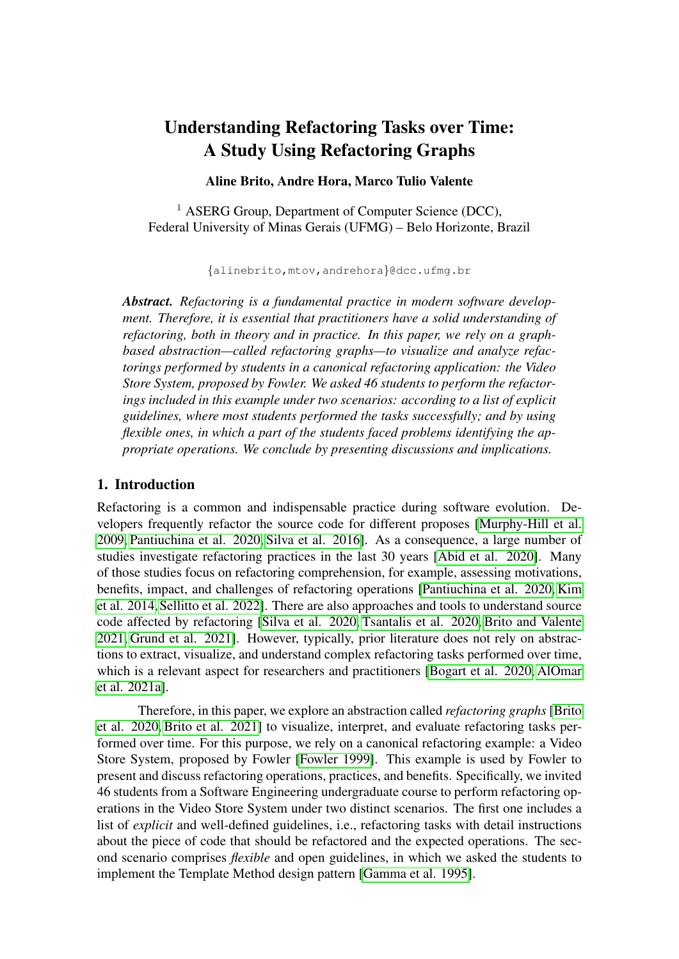# Understanding Refactoring Tasks over Time: A Study Using Refactoring Graphs

#### Aline Brito, Andre Hora, Marco Tulio Valente

<sup>1</sup> ASERG Group, Department of Computer Science (DCC), Federal University of Minas Gerais (UFMG) – Belo Horizonte, Brazil

{alinebrito,mtov,andrehora}@dcc.ufmg.br

*Abstract. Refactoring is a fundamental practice in modern software development. Therefore, it is essential that practitioners have a solid understanding of refactoring, both in theory and in practice. In this paper, we rely on a graphbased abstraction—called refactoring graphs—to visualize and analyze refactorings performed by students in a canonical refactoring application: the Video Store System, proposed by Fowler. We asked 46 students to perform the refactorings included in this example under two scenarios: according to a list of explicit guidelines, where most students performed the tasks successfully; and by using flexible ones, in which a part of the students faced problems identifying the appropriate operations. We conclude by presenting discussions and implications.*

## 1. Introduction

Refactoring is a common and indispensable practice during software evolution. Developers frequently refactor the source code for different proposes [\[Murphy-Hill et al.](#page-14-0) [2009,](#page-14-0) [Pantiuchina et al. 2020,](#page-14-1) [Silva et al. 2016\]](#page-14-2). As a consequence, a large number of studies investigate refactoring practices in the last 30 years [\[Abid et al. 2020\]](#page-12-0). Many of those studies focus on refactoring comprehension, for example, assessing motivations, benefits, impact, and challenges of refactoring operations [\[Pantiuchina et al. 2020,](#page-14-1) [Kim](#page-13-0) [et al. 2014,](#page-13-0)[Sellitto et al. 2022\]](#page-14-3). There are also approaches and tools to understand source code affected by refactoring [\[Silva et al. 2020,](#page-14-4) [Tsantalis et al. 2020,](#page-14-5) [Brito and Valente](#page-13-1) [2021,](#page-13-1) [Grund et al. 2021\]](#page-13-2). However, typically, prior literature does not rely on abstractions to extract, visualize, and understand complex refactoring tasks performed over time, which is a relevant aspect for researchers and practitioners [\[Bogart et al. 2020,](#page-12-1) [AlOmar](#page-12-2) [et al. 2021a\]](#page-12-2).

Therefore, in this paper, we explore an abstraction called *refactoring graphs* [\[Brito](#page-12-3) [et al. 2020,](#page-12-3) [Brito et al. 2021\]](#page-12-4) to visualize, interpret, and evaluate refactoring tasks performed over time. For this purpose, we rely on a canonical refactoring example: a Video Store System, proposed by Fowler [\[Fowler 1999\]](#page-13-3). This example is used by Fowler to present and discuss refactoring operations, practices, and benefits. Specifically, we invited 46 students from a Software Engineering undergraduate course to perform refactoring operations in the Video Store System under two distinct scenarios. The first one includes a list of *explicit* and well-defined guidelines, i.e., refactoring tasks with detail instructions about the piece of code that should be refactored and the expected operations. The second scenario comprises *flexible* and open guidelines, in which we asked the students to implement the Template Method design pattern [\[Gamma et al. 1995\]](#page-13-4).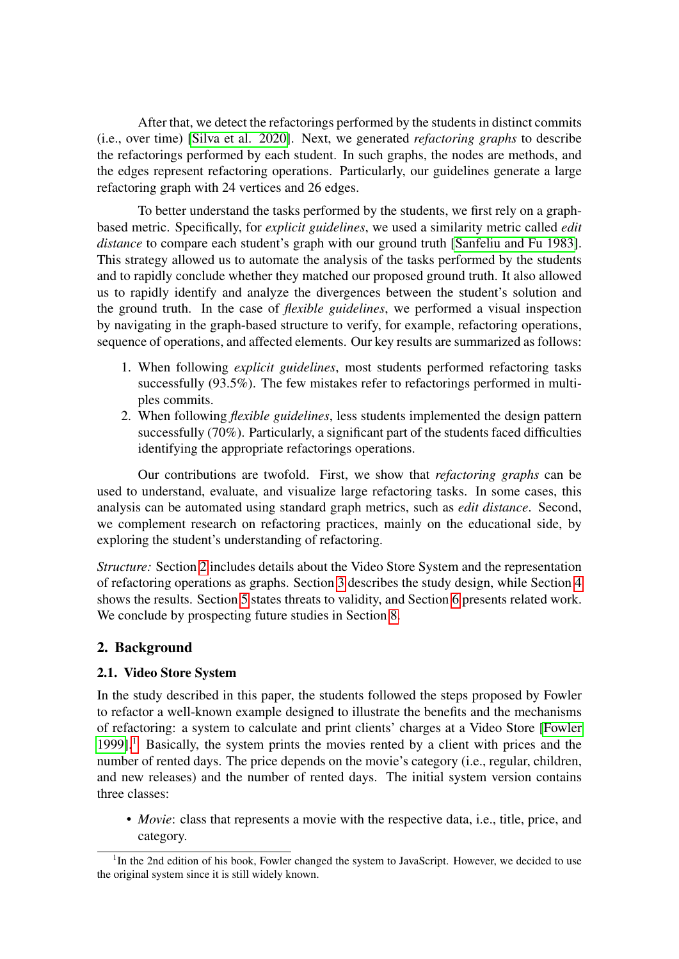After that, we detect the refactorings performed by the students in distinct commits (i.e., over time) [\[Silva et al. 2020\]](#page-14-4). Next, we generated *refactoring graphs* to describe the refactorings performed by each student. In such graphs, the nodes are methods, and the edges represent refactoring operations. Particularly, our guidelines generate a large refactoring graph with 24 vertices and 26 edges.

To better understand the tasks performed by the students, we first rely on a graphbased metric. Specifically, for *explicit guidelines*, we used a similarity metric called *edit distance* to compare each student's graph with our ground truth [\[Sanfeliu and Fu 1983\]](#page-14-6). This strategy allowed us to automate the analysis of the tasks performed by the students and to rapidly conclude whether they matched our proposed ground truth. It also allowed us to rapidly identify and analyze the divergences between the student's solution and the ground truth. In the case of *flexible guidelines*, we performed a visual inspection by navigating in the graph-based structure to verify, for example, refactoring operations, sequence of operations, and affected elements. Our key results are summarized as follows:

- 1. When following *explicit guidelines*, most students performed refactoring tasks successfully (93.5%). The few mistakes refer to refactorings performed in multiples commits.
- 2. When following *flexible guidelines*, less students implemented the design pattern successfully (70%). Particularly, a significant part of the students faced difficulties identifying the appropriate refactorings operations.

Our contributions are twofold. First, we show that *refactoring graphs* can be used to understand, evaluate, and visualize large refactoring tasks. In some cases, this analysis can be automated using standard graph metrics, such as *edit distance*. Second, we complement research on refactoring practices, mainly on the educational side, by exploring the student's understanding of refactoring.

*Structure:* Section [2](#page-1-0) includes details about the Video Store System and the representation of refactoring operations as graphs. Section [3](#page-3-0) describes the study design, while Section [4](#page-5-0) shows the results. Section [5](#page-8-0) states threats to validity, and Section [6](#page-9-0) presents related work. We conclude by prospecting future studies in Section [8.](#page-11-0)

## <span id="page-1-0"></span>2. Background

#### 2.1. Video Store System

In the study described in this paper, the students followed the steps proposed by Fowler to refactor a well-known example designed to illustrate the benefits and the mechanisms of refactoring: a system to calculate and print clients' charges at a Video Store [\[Fowler](#page-13-3) [1999\]](#page-13-3).<sup>[1](#page-1-1)</sup> Basically, the system prints the movies rented by a client with prices and the number of rented days. The price depends on the movie's category (i.e., regular, children, and new releases) and the number of rented days. The initial system version contains three classes:

• *Movie*: class that represents a movie with the respective data, i.e., title, price, and category.

<span id="page-1-1"></span><sup>&</sup>lt;sup>1</sup>In the 2nd edition of his book, Fowler changed the system to JavaScript. However, we decided to use the original system since it is still widely known.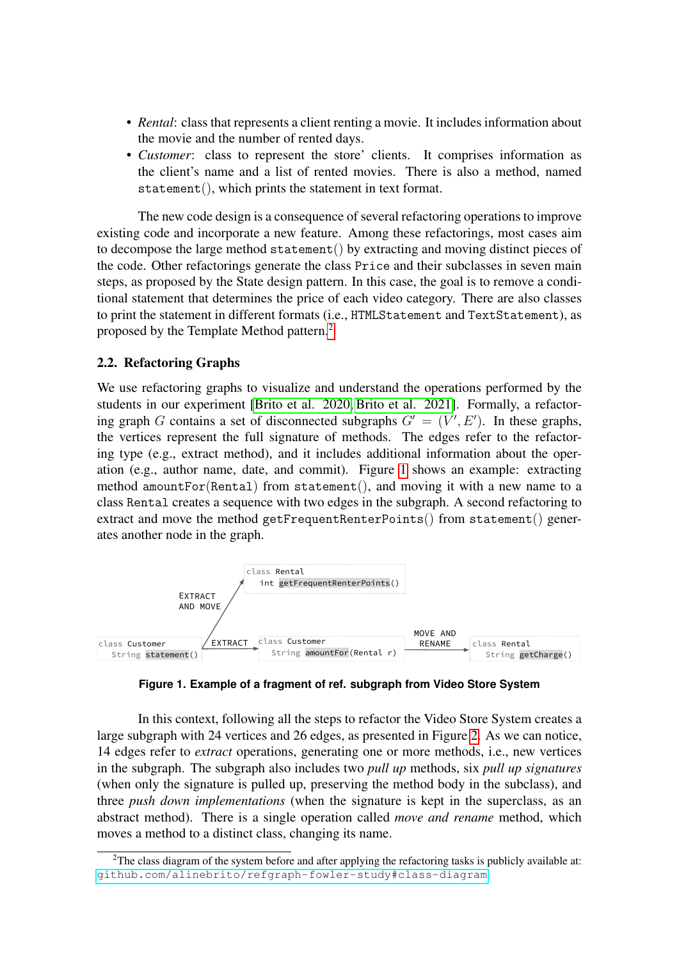- *Rental*: class that represents a client renting a movie. It includes information about the movie and the number of rented days.
- *Customer*: class to represent the store' clients. It comprises information as the client's name and a list of rented movies. There is also a method, named statement(), which prints the statement in text format.

The new code design is a consequence of several refactoring operations to improve existing code and incorporate a new feature. Among these refactorings, most cases aim to decompose the large method statement() by extracting and moving distinct pieces of the code. Other refactorings generate the class Price and their subclasses in seven main steps, as proposed by the State design pattern. In this case, the goal is to remove a conditional statement that determines the price of each video category. There are also classes to print the statement in different formats (i.e., HTMLStatement and TextStatement), as proposed by the Template Method pattern.[2](#page-2-0)

#### 2.2. Refactoring Graphs

We use refactoring graphs to visualize and understand the operations performed by the students in our experiment [\[Brito et al. 2020,](#page-12-3) [Brito et al. 2021\]](#page-12-4). Formally, a refactoring graph G contains a set of disconnected subgraphs  $G' = (V', E')$ . In these graphs, the vertices represent the full signature of methods. The edges refer to the refactoring type (e.g., extract method), and it includes additional information about the operation (e.g., author name, date, and commit). Figure [1](#page-2-1) shows an example: extracting method amountFor(Rental) from statement(), and moving it with a new name to a class Rental creates a sequence with two edges in the subgraph. A second refactoring to extract and move the method getFrequentRenterPoints() from statement() generates another node in the graph.

<span id="page-2-1"></span>

**Figure 1. Example of a fragment of ref. subgraph from Video Store System**

In this context, following all the steps to refactor the Video Store System creates a large subgraph with 24 vertices and 26 edges, as presented in Figure [2.](#page-3-1) As we can notice, 14 edges refer to *extract* operations, generating one or more methods, i.e., new vertices in the subgraph. The subgraph also includes two *pull up* methods, six *pull up signatures* (when only the signature is pulled up, preserving the method body in the subclass), and three *push down implementations* (when the signature is kept in the superclass, as an abstract method). There is a single operation called *move and rename* method, which moves a method to a distinct class, changing its name.

<span id="page-2-0"></span> $2$ The class diagram of the system before and after applying the refactoring tasks is publicly available at: <github.com/alinebrito/refgraph-fowler-study#class-diagram>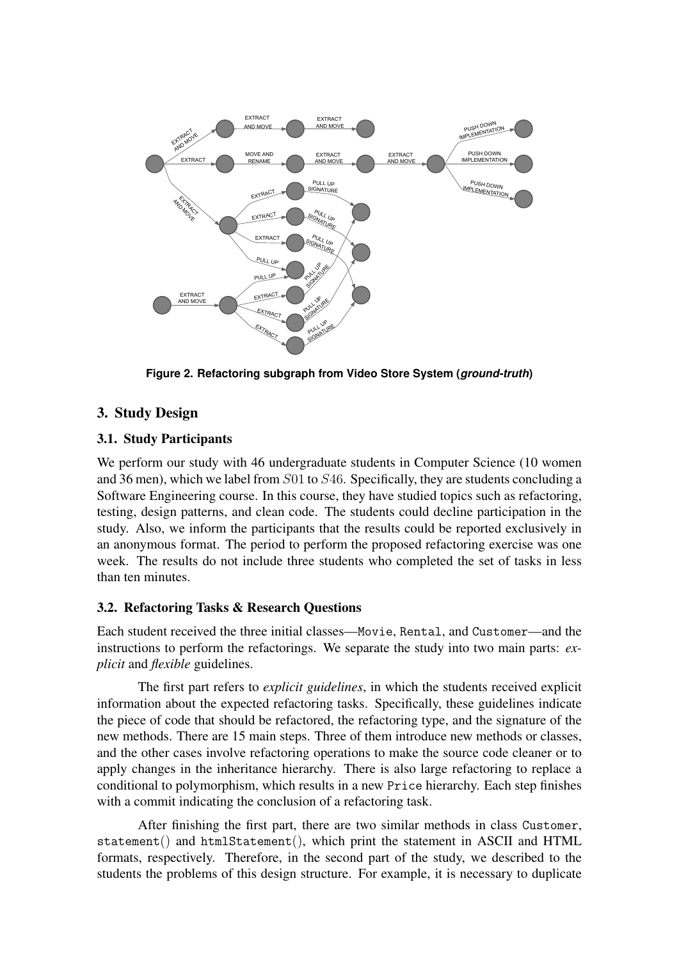<span id="page-3-1"></span>

**Figure 2. Refactoring subgraph from Video Store System (***ground-truth***)**

# <span id="page-3-0"></span>3. Study Design

# 3.1. Study Participants

We perform our study with 46 undergraduate students in Computer Science (10 women and 36 men), which we label from S01 to S46. Specifically, they are students concluding a Software Engineering course. In this course, they have studied topics such as refactoring, testing, design patterns, and clean code. The students could decline participation in the study. Also, we inform the participants that the results could be reported exclusively in an anonymous format. The period to perform the proposed refactoring exercise was one week. The results do not include three students who completed the set of tasks in less than ten minutes.

## 3.2. Refactoring Tasks & Research Questions

Each student received the three initial classes—Movie, Rental, and Customer—and the instructions to perform the refactorings. We separate the study into two main parts: *explicit* and *flexible* guidelines.

The first part refers to *explicit guidelines*, in which the students received explicit information about the expected refactoring tasks. Specifically, these guidelines indicate the piece of code that should be refactored, the refactoring type, and the signature of the new methods. There are 15 main steps. Three of them introduce new methods or classes, and the other cases involve refactoring operations to make the source code cleaner or to apply changes in the inheritance hierarchy. There is also large refactoring to replace a conditional to polymorphism, which results in a new Price hierarchy. Each step finishes with a commit indicating the conclusion of a refactoring task.

After finishing the first part, there are two similar methods in class Customer, statement() and htmlStatement(), which print the statement in ASCII and HTML formats, respectively. Therefore, in the second part of the study, we described to the students the problems of this design structure. For example, it is necessary to duplicate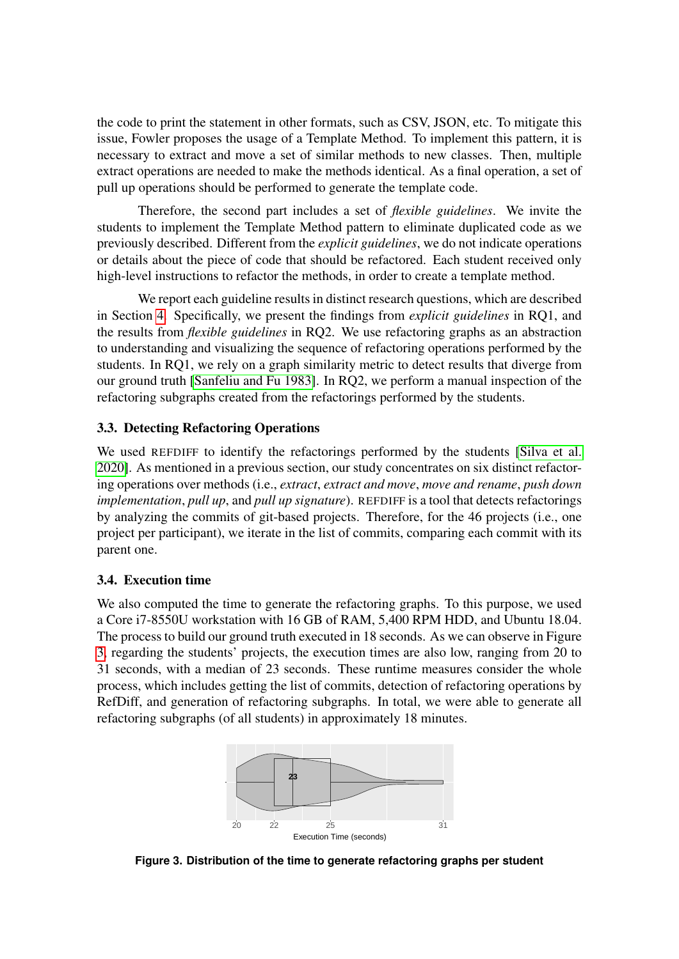the code to print the statement in other formats, such as CSV, JSON, etc. To mitigate this issue, Fowler proposes the usage of a Template Method. To implement this pattern, it is necessary to extract and move a set of similar methods to new classes. Then, multiple extract operations are needed to make the methods identical. As a final operation, a set of pull up operations should be performed to generate the template code.

Therefore, the second part includes a set of *flexible guidelines*. We invite the students to implement the Template Method pattern to eliminate duplicated code as we previously described. Different from the *explicit guidelines*, we do not indicate operations or details about the piece of code that should be refactored. Each student received only high-level instructions to refactor the methods, in order to create a template method.

We report each guideline results in distinct research questions, which are described in Section [4.](#page-5-0) Specifically, we present the findings from *explicit guidelines* in RQ1, and the results from *flexible guidelines* in RQ2. We use refactoring graphs as an abstraction to understanding and visualizing the sequence of refactoring operations performed by the students. In RQ1, we rely on a graph similarity metric to detect results that diverge from our ground truth [\[Sanfeliu and Fu 1983\]](#page-14-6). In RQ2, we perform a manual inspection of the refactoring subgraphs created from the refactorings performed by the students.

## 3.3. Detecting Refactoring Operations

We used REFDIFF to identify the refactorings performed by the students [\[Silva et al.](#page-14-4) [2020\]](#page-14-4). As mentioned in a previous section, our study concentrates on six distinct refactoring operations over methods (i.e., *extract*, *extract and move*, *move and rename*, *push down implementation*, *pull up*, and *pull up signature*). REFDIFF is a tool that detects refactorings by analyzing the commits of git-based projects. Therefore, for the 46 projects (i.e., one project per participant), we iterate in the list of commits, comparing each commit with its parent one.

## 3.4. Execution time

We also computed the time to generate the refactoring graphs. To this purpose, we used a Core i7-8550U workstation with 16 GB of RAM, 5,400 RPM HDD, and Ubuntu 18.04. The process to build our ground truth executed in 18 seconds. As we can observe in Figure [3,](#page-4-0) regarding the students' projects, the execution times are also low, ranging from 20 to 31 seconds, with a median of 23 seconds. These runtime measures consider the whole process, which includes getting the list of commits, detection of refactoring operations by RefDiff, and generation of refactoring subgraphs. In total, we were able to generate all refactoring subgraphs (of all students) in approximately 18 minutes.

<span id="page-4-0"></span>

**Figure 3. Distribution of the time to generate refactoring graphs per student**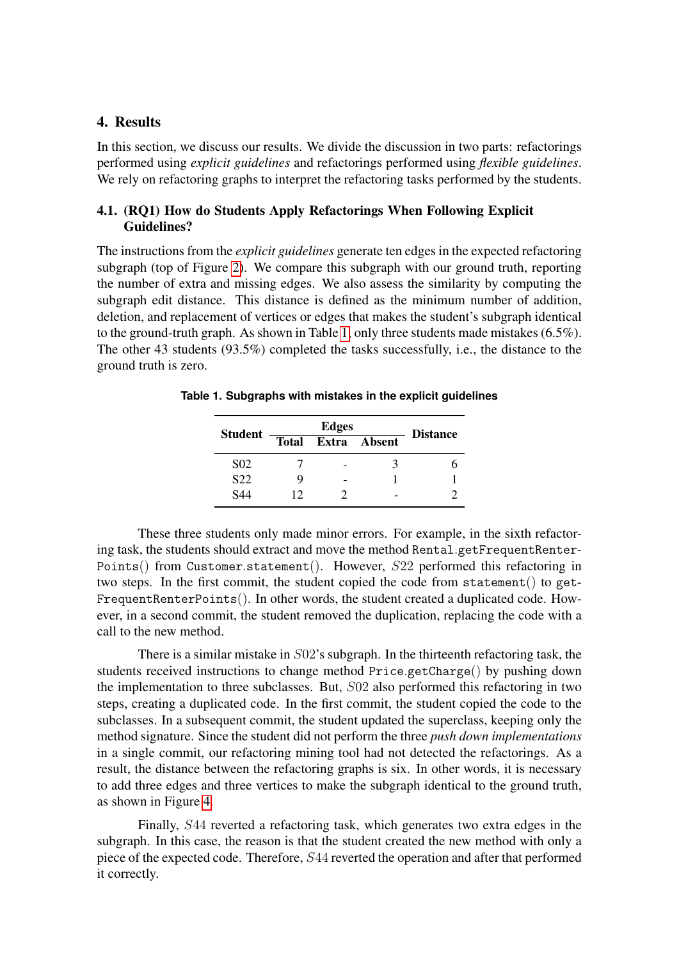#### <span id="page-5-0"></span>4. Results

In this section, we discuss our results. We divide the discussion in two parts: refactorings performed using *explicit guidelines* and refactorings performed using *flexible guidelines*. We rely on refactoring graphs to interpret the refactoring tasks performed by the students.

## 4.1. (RQ1) How do Students Apply Refactorings When Following Explicit Guidelines?

The instructions from the *explicit guidelines* generate ten edges in the expected refactoring subgraph (top of Figure [2\)](#page-3-1). We compare this subgraph with our ground truth, reporting the number of extra and missing edges. We also assess the similarity by computing the subgraph edit distance. This distance is defined as the minimum number of addition, deletion, and replacement of vertices or edges that makes the student's subgraph identical to the ground-truth graph. As shown in Table [1,](#page-5-1) only three students made mistakes (6.5%). The other 43 students (93.5%) completed the tasks successfully, i.e., the distance to the ground truth is zero.

| <b>Student</b>   | <b>Edges</b> |  |              | <b>Distance</b> |
|------------------|--------------|--|--------------|-----------------|
|                  | <b>Total</b> |  | Extra Absent |                 |
| S <sub>0</sub> 2 |              |  |              |                 |
| S22              |              |  |              |                 |
| S44              | 12           |  |              |                 |

<span id="page-5-1"></span>**Table 1. Subgraphs with mistakes in the explicit guidelines**

These three students only made minor errors. For example, in the sixth refactoring task, the students should extract and move the method Rental.getFrequentRenter-Points() from Customer.statement(). However, S22 performed this refactoring in two steps. In the first commit, the student copied the code from statement() to get-FrequentRenterPoints(). In other words, the student created a duplicated code. However, in a second commit, the student removed the duplication, replacing the code with a call to the new method.

There is a similar mistake in S02's subgraph. In the thirteenth refactoring task, the students received instructions to change method Price.getCharge() by pushing down the implementation to three subclasses. But, S02 also performed this refactoring in two steps, creating a duplicated code. In the first commit, the student copied the code to the subclasses. In a subsequent commit, the student updated the superclass, keeping only the method signature. Since the student did not perform the three *push down implementations* in a single commit, our refactoring mining tool had not detected the refactorings. As a result, the distance between the refactoring graphs is six. In other words, it is necessary to add three edges and three vertices to make the subgraph identical to the ground truth, as shown in Figure [4.](#page-6-0)

Finally, S44 reverted a refactoring task, which generates two extra edges in the subgraph. In this case, the reason is that the student created the new method with only a piece of the expected code. Therefore, S44 reverted the operation and after that performed it correctly.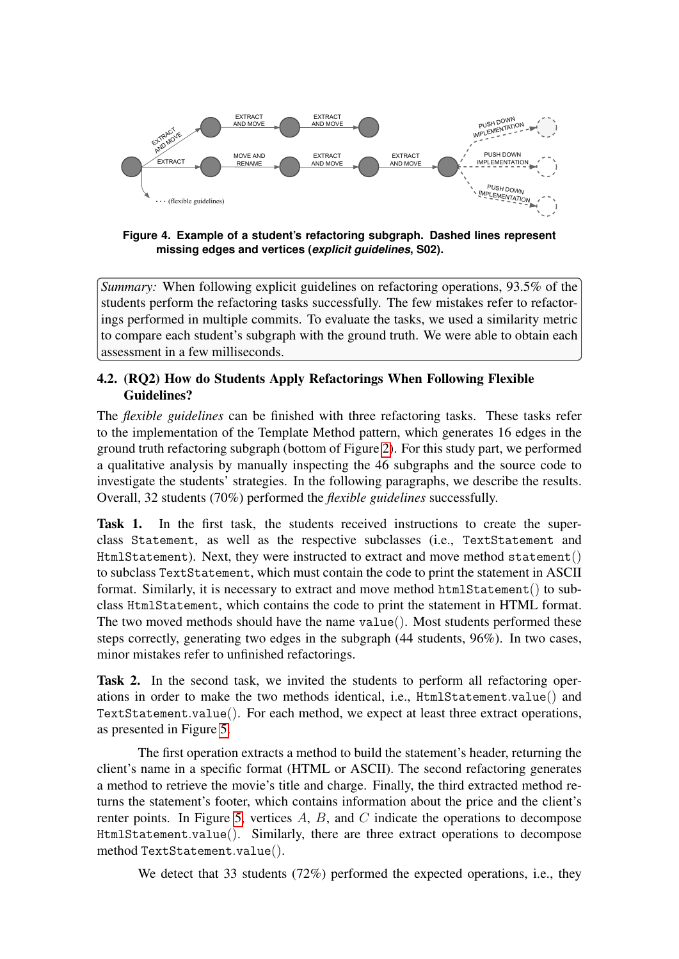<span id="page-6-0"></span>

**Figure 4. Example of a student's refactoring subgraph. Dashed lines represent missing edges and vertices (***explicit guidelines***, S02).**

*Summary:* When following explicit guidelines on refactoring operations, 93.5% of the students perform the refactoring tasks successfully. The few mistakes refer to refactorings performed in multiple commits. To evaluate the tasks, we used a similarity metric to compare each student's subgraph with the ground truth. We were able to obtain each assessment in a few milliseconds.

## 4.2. (RQ2) How do Students Apply Refactorings When Following Flexible Guidelines?

The *flexible guidelines* can be finished with three refactoring tasks. These tasks refer to the implementation of the Template Method pattern, which generates 16 edges in the ground truth refactoring subgraph (bottom of Figure [2\)](#page-3-1). For this study part, we performed a qualitative analysis by manually inspecting the 46 subgraphs and the source code to investigate the students' strategies. In the following paragraphs, we describe the results. Overall, 32 students (70%) performed the *flexible guidelines* successfully.

Task 1. In the first task, the students received instructions to create the superclass Statement, as well as the respective subclasses (i.e., TextStatement and HtmlStatement). Next, they were instructed to extract and move method statement() to subclass TextStatement, which must contain the code to print the statement in ASCII format. Similarly, it is necessary to extract and move method htmlStatement() to subclass HtmlStatement, which contains the code to print the statement in HTML format. The two moved methods should have the name value(). Most students performed these steps correctly, generating two edges in the subgraph (44 students, 96%). In two cases, minor mistakes refer to unfinished refactorings.

Task 2. In the second task, we invited the students to perform all refactoring operations in order to make the two methods identical, i.e., HtmlStatement.value() and TextStatement.value(). For each method, we expect at least three extract operations, as presented in Figure [5.](#page-7-0)

The first operation extracts a method to build the statement's header, returning the client's name in a specific format (HTML or ASCII). The second refactoring generates a method to retrieve the movie's title and charge. Finally, the third extracted method returns the statement's footer, which contains information about the price and the client's renter points. In Figure [5,](#page-7-0) vertices  $A$ ,  $B$ , and  $C$  indicate the operations to decompose HtmlStatement.value(). Similarly, there are three extract operations to decompose method TextStatement.value().

We detect that 33 students (72%) performed the expected operations, i.e., they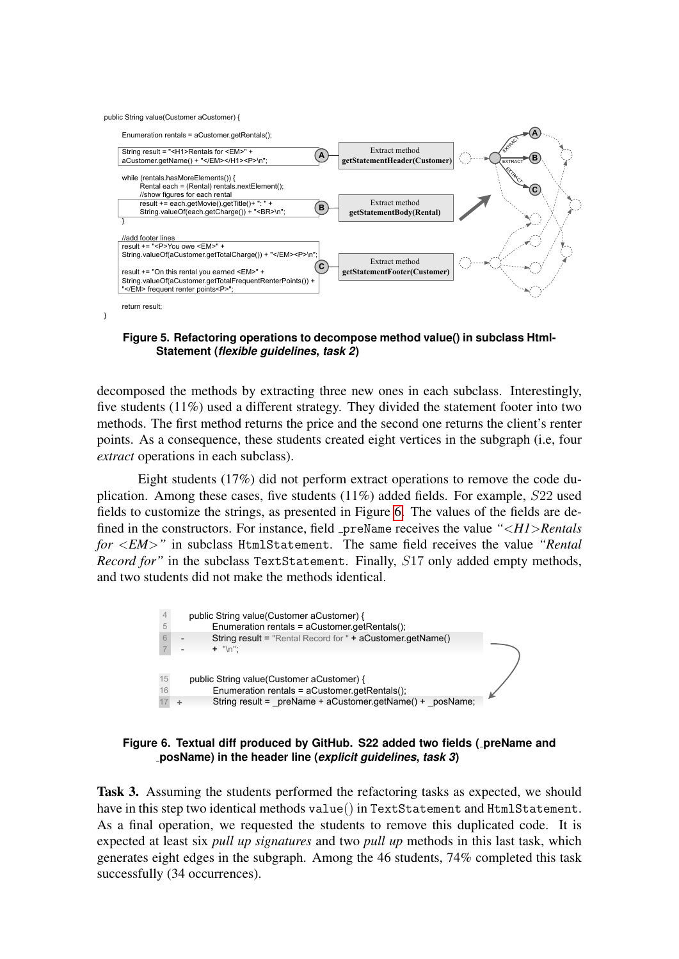<span id="page-7-0"></span>public String value(Customer aCustomer) {



**Figure 5. Refactoring operations to decompose method value() in subclass Html-Statement (***flexible guidelines***,** *task 2***)**

decomposed the methods by extracting three new ones in each subclass. Interestingly, five students  $(11\%)$  used a different strategy. They divided the statement footer into two methods. The first method returns the price and the second one returns the client's renter points. As a consequence, these students created eight vertices in the subgraph (i.e, four *extract* operations in each subclass).

Eight students (17%) did not perform extract operations to remove the code duplication. Among these cases, five students (11%) added fields. For example, S22 used fields to customize the strings, as presented in Figure [6.](#page-7-1) The values of the fields are defined in the constructors. For instance, field preName receives the value *"*<*H1*>*Rentals for* <*EM*>*"* in subclass HtmlStatement. The same field receives the value *"Rental Record for*" in the subclass TextStatement. Finally, S17 only added empty methods, and two students did not make the methods identical.

<span id="page-7-1"></span>



Task 3. Assuming the students performed the refactoring tasks as expected, we should have in this step two identical methods value() in TextStatement and HtmlStatement. As a final operation, we requested the students to remove this duplicated code. It is expected at least six *pull up signatures* and two *pull up* methods in this last task, which generates eight edges in the subgraph. Among the 46 students, 74% completed this task successfully (34 occurrences).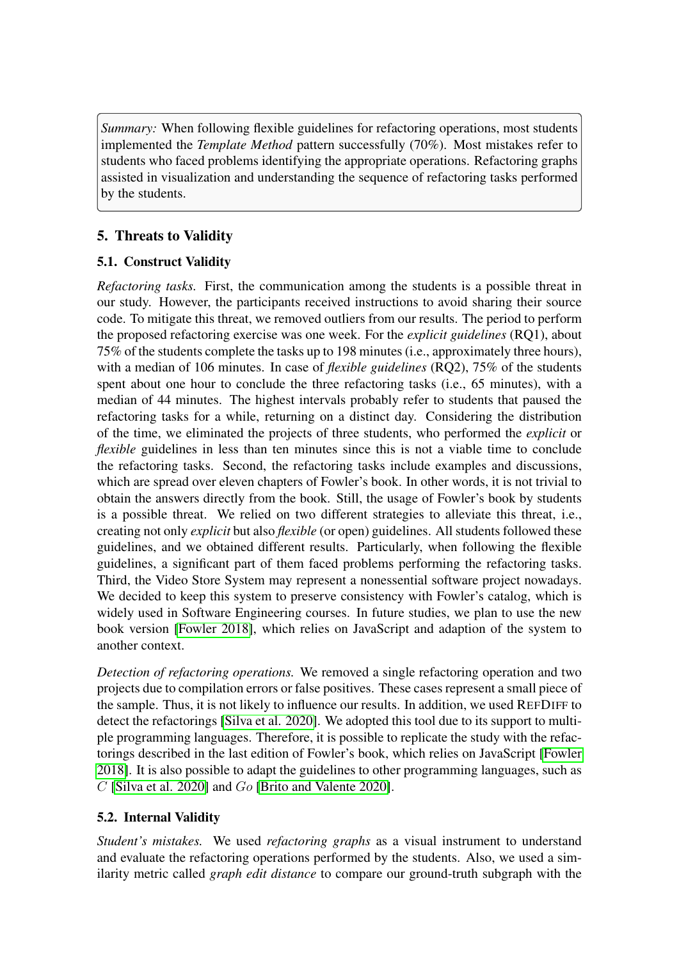*Summary:* When following flexible guidelines for refactoring operations, most students implemented the *Template Method* pattern successfully (70%). Most mistakes refer to students who faced problems identifying the appropriate operations. Refactoring graphs assisted in visualization and understanding the sequence of refactoring tasks performed by the students.

# <span id="page-8-0"></span>5. Threats to Validity

# 5.1. Construct Validity

*Refactoring tasks.* First, the communication among the students is a possible threat in our study. However, the participants received instructions to avoid sharing their source code. To mitigate this threat, we removed outliers from our results. The period to perform the proposed refactoring exercise was one week. For the *explicit guidelines* (RQ1), about 75% of the students complete the tasks up to 198 minutes (i.e., approximately three hours), with a median of 106 minutes. In case of *flexible guidelines* (RQ2), 75% of the students spent about one hour to conclude the three refactoring tasks (i.e., 65 minutes), with a median of 44 minutes. The highest intervals probably refer to students that paused the refactoring tasks for a while, returning on a distinct day. Considering the distribution of the time, we eliminated the projects of three students, who performed the *explicit* or *flexible* guidelines in less than ten minutes since this is not a viable time to conclude the refactoring tasks. Second, the refactoring tasks include examples and discussions, which are spread over eleven chapters of Fowler's book. In other words, it is not trivial to obtain the answers directly from the book. Still, the usage of Fowler's book by students is a possible threat. We relied on two different strategies to alleviate this threat, i.e., creating not only *explicit* but also *flexible* (or open) guidelines. All students followed these guidelines, and we obtained different results. Particularly, when following the flexible guidelines, a significant part of them faced problems performing the refactoring tasks. Third, the Video Store System may represent a nonessential software project nowadays. We decided to keep this system to preserve consistency with Fowler's catalog, which is widely used in Software Engineering courses. In future studies, we plan to use the new book version [\[Fowler 2018\]](#page-13-5), which relies on JavaScript and adaption of the system to another context.

*Detection of refactoring operations.* We removed a single refactoring operation and two projects due to compilation errors or false positives. These cases represent a small piece of the sample. Thus, it is not likely to influence our results. In addition, we used REFDIFF to detect the refactorings [\[Silva et al. 2020\]](#page-14-4). We adopted this tool due to its support to multiple programming languages. Therefore, it is possible to replicate the study with the refactorings described in the last edition of Fowler's book, which relies on JavaScript [\[Fowler](#page-13-5) [2018\]](#page-13-5). It is also possible to adapt the guidelines to other programming languages, such as C [\[Silva et al. 2020\]](#page-14-4) and Go [\[Brito and Valente 2020\]](#page-13-6).

## 5.2. Internal Validity

*Student's mistakes.* We used *refactoring graphs* as a visual instrument to understand and evaluate the refactoring operations performed by the students. Also, we used a similarity metric called *graph edit distance* to compare our ground-truth subgraph with the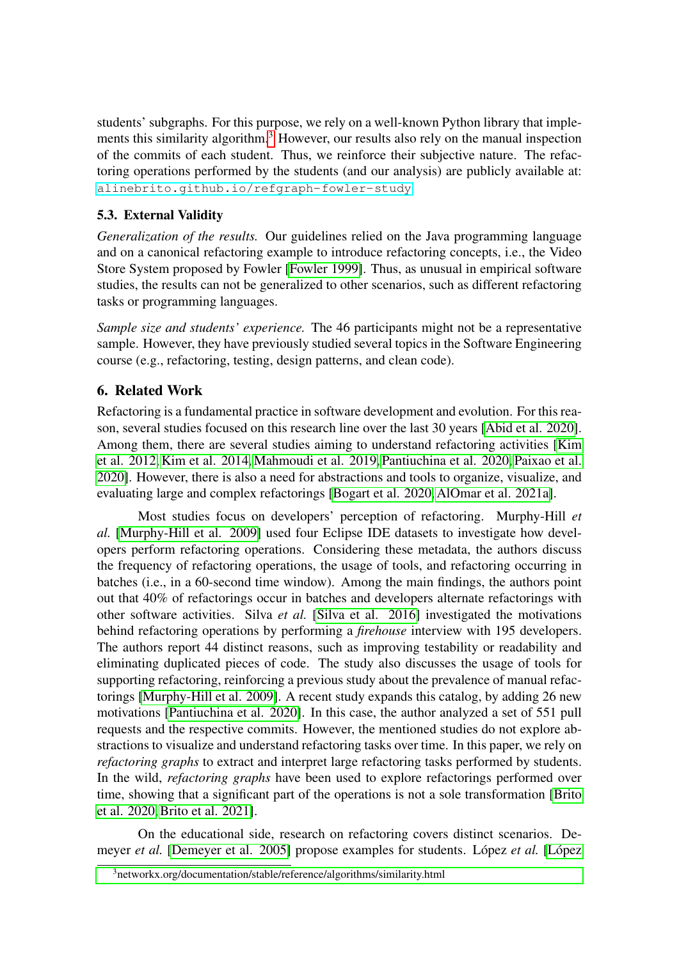students' subgraphs. For this purpose, we rely on a well-known Python library that imple-ments this similarity algorithm.<sup>[3](#page-9-1)</sup> However, our results also rely on the manual inspection of the commits of each student. Thus, we reinforce their subjective nature. The refactoring operations performed by the students (and our analysis) are publicly available at: <alinebrito.github.io/refgraph-fowler-study>

# 5.3. External Validity

*Generalization of the results.* Our guidelines relied on the Java programming language and on a canonical refactoring example to introduce refactoring concepts, i.e., the Video Store System proposed by Fowler [\[Fowler 1999\]](#page-13-3). Thus, as unusual in empirical software studies, the results can not be generalized to other scenarios, such as different refactoring tasks or programming languages.

*Sample size and students' experience.* The 46 participants might not be a representative sample. However, they have previously studied several topics in the Software Engineering course (e.g., refactoring, testing, design patterns, and clean code).

# <span id="page-9-0"></span>6. Related Work

Refactoring is a fundamental practice in software development and evolution. For this reason, several studies focused on this research line over the last 30 years [\[Abid et al. 2020\]](#page-12-0). Among them, there are several studies aiming to understand refactoring activities [\[Kim](#page-13-7) [et al. 2012,](#page-13-7) [Kim et al. 2014,](#page-13-0) [Mahmoudi et al. 2019,](#page-14-7) [Pantiuchina et al. 2020,](#page-14-1) [Paixao et al.](#page-14-8) [2020\]](#page-14-8). However, there is also a need for abstractions and tools to organize, visualize, and evaluating large and complex refactorings [\[Bogart et al. 2020,](#page-12-1) [AlOmar et al. 2021a\]](#page-12-2).

Most studies focus on developers' perception of refactoring. Murphy-Hill *et al.* [\[Murphy-Hill et al. 2009\]](#page-14-0) used four Eclipse IDE datasets to investigate how developers perform refactoring operations. Considering these metadata, the authors discuss the frequency of refactoring operations, the usage of tools, and refactoring occurring in batches (i.e., in a 60-second time window). Among the main findings, the authors point out that 40% of refactorings occur in batches and developers alternate refactorings with other software activities. Silva *et al.* [\[Silva et al. 2016\]](#page-14-2) investigated the motivations behind refactoring operations by performing a *firehouse* interview with 195 developers. The authors report 44 distinct reasons, such as improving testability or readability and eliminating duplicated pieces of code. The study also discusses the usage of tools for supporting refactoring, reinforcing a previous study about the prevalence of manual refactorings [\[Murphy-Hill et al. 2009\]](#page-14-0). A recent study expands this catalog, by adding 26 new motivations [\[Pantiuchina et al. 2020\]](#page-14-1). In this case, the author analyzed a set of 551 pull requests and the respective commits. However, the mentioned studies do not explore abstractions to visualize and understand refactoring tasks over time. In this paper, we rely on *refactoring graphs* to extract and interpret large refactoring tasks performed by students. In the wild, *refactoring graphs* have been used to explore refactorings performed over time, showing that a significant part of the operations is not a sole transformation [\[Brito](#page-12-3) [et al. 2020,](#page-12-3) [Brito et al. 2021\]](#page-12-4).

On the educational side, research on refactoring covers distinct scenarios. Demeyer *et al.* [\[Demeyer et al. 2005\]](#page-13-8) propose examples for students. López *et al.* [López

<span id="page-9-1"></span><sup>3</sup>[networkx.org/documentation/stable/reference/algorithms/similarity.html](#page-13-9)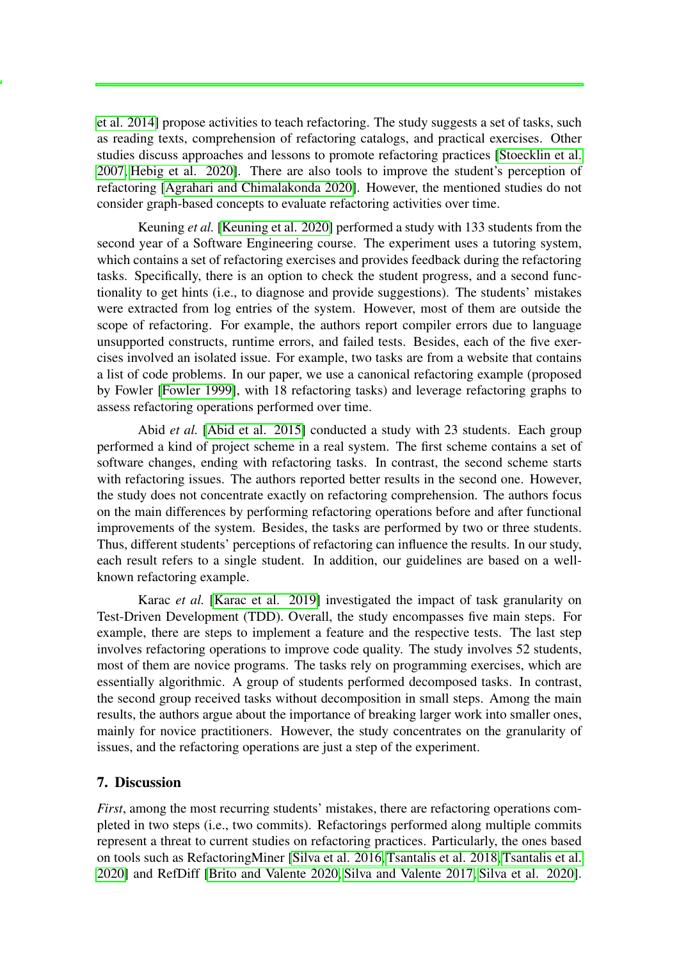[et al. 2014\]](#page-13-9) propose activities to teach refactoring. The study suggests a set of tasks, such as reading texts, comprehension of refactoring catalogs, and practical exercises. Other studies discuss approaches and lessons to promote refactoring practices [\[Stoecklin et al.](#page-14-9) [2007,](#page-14-9) [Hebig et al. 2020\]](#page-13-10). There are also tools to improve the student's perception of refactoring [\[Agrahari and Chimalakonda 2020\]](#page-12-5). However, the mentioned studies do not consider graph-based concepts to evaluate refactoring activities over time.

Keuning *et al.* [\[Keuning et al. 2020\]](#page-13-11) performed a study with 133 students from the second year of a Software Engineering course. The experiment uses a tutoring system, which contains a set of refactoring exercises and provides feedback during the refactoring tasks. Specifically, there is an option to check the student progress, and a second functionality to get hints (i.e., to diagnose and provide suggestions). The students' mistakes were extracted from log entries of the system. However, most of them are outside the scope of refactoring. For example, the authors report compiler errors due to language unsupported constructs, runtime errors, and failed tests. Besides, each of the five exercises involved an isolated issue. For example, two tasks are from a website that contains a list of code problems. In our paper, we use a canonical refactoring example (proposed by Fowler [\[Fowler 1999\]](#page-13-3), with 18 refactoring tasks) and leverage refactoring graphs to assess refactoring operations performed over time.

Abid *et al.* [\[Abid et al. 2015\]](#page-12-6) conducted a study with 23 students. Each group performed a kind of project scheme in a real system. The first scheme contains a set of software changes, ending with refactoring tasks. In contrast, the second scheme starts with refactoring issues. The authors reported better results in the second one. However, the study does not concentrate exactly on refactoring comprehension. The authors focus on the main differences by performing refactoring operations before and after functional improvements of the system. Besides, the tasks are performed by two or three students. Thus, different students' perceptions of refactoring can influence the results. In our study, each result refers to a single student. In addition, our guidelines are based on a wellknown refactoring example.

Karac *et al.* [\[Karac et al. 2019\]](#page-13-12) investigated the impact of task granularity on Test-Driven Development (TDD). Overall, the study encompasses five main steps. For example, there are steps to implement a feature and the respective tests. The last step involves refactoring operations to improve code quality. The study involves 52 students, most of them are novice programs. The tasks rely on programming exercises, which are essentially algorithmic. A group of students performed decomposed tasks. In contrast, the second group received tasks without decomposition in small steps. Among the main results, the authors argue about the importance of breaking larger work into smaller ones, mainly for novice practitioners. However, the study concentrates on the granularity of issues, and the refactoring operations are just a step of the experiment.

## 7. Discussion

*First*, among the most recurring students' mistakes, there are refactoring operations completed in two steps (i.e., two commits). Refactorings performed along multiple commits represent a threat to current studies on refactoring practices. Particularly, the ones based on tools such as RefactoringMiner [\[Silva et al. 2016,](#page-14-2) [Tsantalis et al. 2018,](#page-14-10) [Tsantalis et al.](#page-14-5) [2020\]](#page-14-5) and RefDiff [\[Brito and Valente 2020,](#page-13-6) [Silva and Valente 2017,](#page-14-11) [Silva et al. 2020\]](#page-14-4).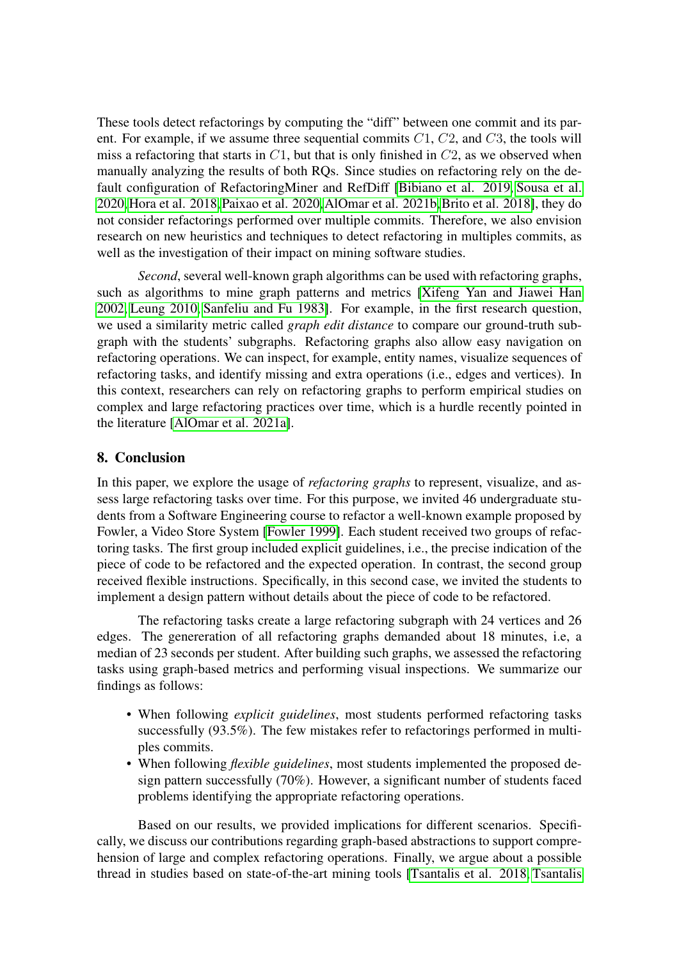These tools detect refactorings by computing the "diff" between one commit and its parent. For example, if we assume three sequential commits  $C_1$ ,  $C_2$ , and  $C_3$ , the tools will miss a refactoring that starts in  $C1$ , but that is only finished in  $C2$ , as we observed when manually analyzing the results of both RQs. Since studies on refactoring rely on the default configuration of RefactoringMiner and RefDiff [\[Bibiano et al. 2019,](#page-12-7) [Sousa et al.](#page-14-12) [2020,](#page-14-12)[Hora et al. 2018,](#page-13-13)[Paixao et al. 2020,](#page-14-8)[AlOmar et al. 2021b,](#page-12-8)[Brito et al. 2018\]](#page-12-9), they do not consider refactorings performed over multiple commits. Therefore, we also envision research on new heuristics and techniques to detect refactoring in multiples commits, as well as the investigation of their impact on mining software studies.

*Second*, several well-known graph algorithms can be used with refactoring graphs, such as algorithms to mine graph patterns and metrics [\[Xifeng Yan and Jiawei Han](#page-14-13) [2002,](#page-14-13) [Leung 2010,](#page-13-14) [Sanfeliu and Fu 1983\]](#page-14-6). For example, in the first research question, we used a similarity metric called *graph edit distance* to compare our ground-truth subgraph with the students' subgraphs. Refactoring graphs also allow easy navigation on refactoring operations. We can inspect, for example, entity names, visualize sequences of refactoring tasks, and identify missing and extra operations (i.e., edges and vertices). In this context, researchers can rely on refactoring graphs to perform empirical studies on complex and large refactoring practices over time, which is a hurdle recently pointed in the literature [\[AlOmar et al. 2021a\]](#page-12-2).

## <span id="page-11-0"></span>8. Conclusion

In this paper, we explore the usage of *refactoring graphs* to represent, visualize, and assess large refactoring tasks over time. For this purpose, we invited 46 undergraduate students from a Software Engineering course to refactor a well-known example proposed by Fowler, a Video Store System [\[Fowler 1999\]](#page-13-3). Each student received two groups of refactoring tasks. The first group included explicit guidelines, i.e., the precise indication of the piece of code to be refactored and the expected operation. In contrast, the second group received flexible instructions. Specifically, in this second case, we invited the students to implement a design pattern without details about the piece of code to be refactored.

The refactoring tasks create a large refactoring subgraph with 24 vertices and 26 edges. The genereration of all refactoring graphs demanded about 18 minutes, i.e, a median of 23 seconds per student. After building such graphs, we assessed the refactoring tasks using graph-based metrics and performing visual inspections. We summarize our findings as follows:

- When following *explicit guidelines*, most students performed refactoring tasks successfully (93.5%). The few mistakes refer to refactorings performed in multiples commits.
- When following *flexible guidelines*, most students implemented the proposed design pattern successfully (70%). However, a significant number of students faced problems identifying the appropriate refactoring operations.

Based on our results, we provided implications for different scenarios. Specifically, we discuss our contributions regarding graph-based abstractions to support comprehension of large and complex refactoring operations. Finally, we argue about a possible thread in studies based on state-of-the-art mining tools [\[Tsantalis et al. 2018,](#page-14-10) [Tsantalis](#page-14-5)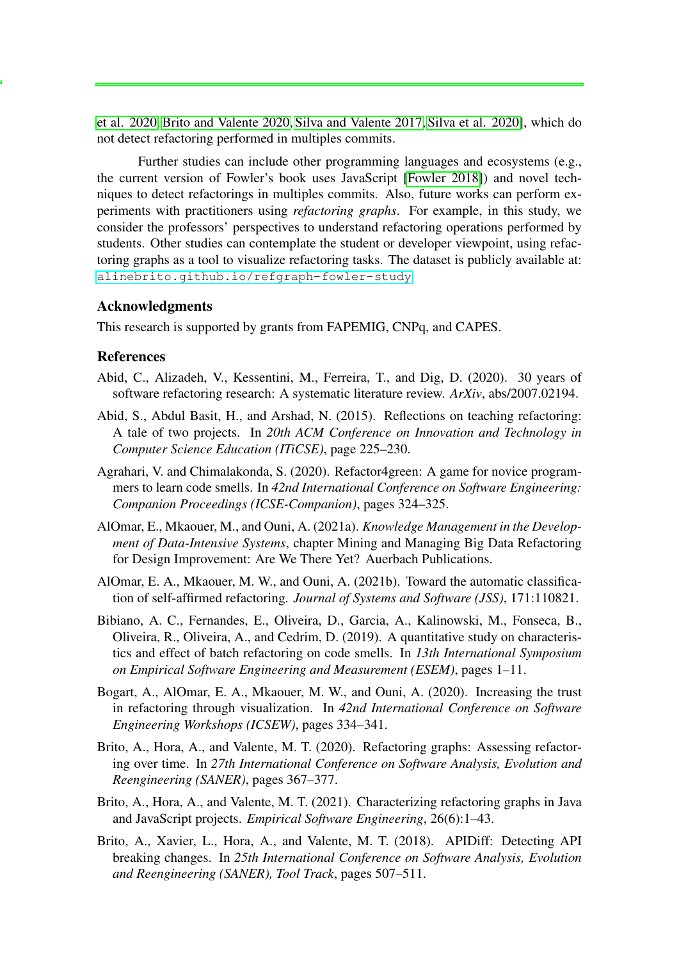[et al. 2020,](#page-14-5) [Brito and Valente 2020,](#page-13-6) [Silva and Valente 2017,](#page-14-11) [Silva et al. 2020\]](#page-14-4), which do not detect refactoring performed in multiples commits.

Further studies can include other programming languages and ecosystems (e.g., the current version of Fowler's book uses JavaScript [\[Fowler 2018\]](#page-13-5)) and novel techniques to detect refactorings in multiples commits. Also, future works can perform experiments with practitioners using *refactoring graphs*. For example, in this study, we consider the professors' perspectives to understand refactoring operations performed by students. Other studies can contemplate the student or developer viewpoint, using refactoring graphs as a tool to visualize refactoring tasks. The dataset is publicly available at: <alinebrito.github.io/refgraph-fowler-study>

#### Acknowledgments

This research is supported by grants from FAPEMIG, CNPq, and CAPES.

#### References

- <span id="page-12-0"></span>Abid, C., Alizadeh, V., Kessentini, M., Ferreira, T., and Dig, D. (2020). 30 years of software refactoring research: A systematic literature review. *ArXiv*, abs/2007.02194.
- <span id="page-12-6"></span>Abid, S., Abdul Basit, H., and Arshad, N. (2015). Reflections on teaching refactoring: A tale of two projects. In *20th ACM Conference on Innovation and Technology in Computer Science Education (ITiCSE)*, page 225–230.
- <span id="page-12-5"></span>Agrahari, V. and Chimalakonda, S. (2020). Refactor4green: A game for novice programmers to learn code smells. In *42nd International Conference on Software Engineering: Companion Proceedings (ICSE-Companion)*, pages 324–325.
- <span id="page-12-2"></span>AlOmar, E., Mkaouer, M., and Ouni, A. (2021a). *Knowledge Management in the Development of Data-Intensive Systems*, chapter Mining and Managing Big Data Refactoring for Design Improvement: Are We There Yet? Auerbach Publications.
- <span id="page-12-8"></span>AlOmar, E. A., Mkaouer, M. W., and Ouni, A. (2021b). Toward the automatic classification of self-affirmed refactoring. *Journal of Systems and Software (JSS)*, 171:110821.
- <span id="page-12-7"></span>Bibiano, A. C., Fernandes, E., Oliveira, D., Garcia, A., Kalinowski, M., Fonseca, B., Oliveira, R., Oliveira, A., and Cedrim, D. (2019). A quantitative study on characteristics and effect of batch refactoring on code smells. In *13th International Symposium on Empirical Software Engineering and Measurement (ESEM)*, pages 1–11.
- <span id="page-12-1"></span>Bogart, A., AlOmar, E. A., Mkaouer, M. W., and Ouni, A. (2020). Increasing the trust in refactoring through visualization. In *42nd International Conference on Software Engineering Workshops (ICSEW)*, pages 334–341.
- <span id="page-12-3"></span>Brito, A., Hora, A., and Valente, M. T. (2020). Refactoring graphs: Assessing refactoring over time. In *27th International Conference on Software Analysis, Evolution and Reengineering (SANER)*, pages 367–377.
- <span id="page-12-4"></span>Brito, A., Hora, A., and Valente, M. T. (2021). Characterizing refactoring graphs in Java and JavaScript projects. *Empirical Software Engineering*, 26(6):1–43.
- <span id="page-12-9"></span>Brito, A., Xavier, L., Hora, A., and Valente, M. T. (2018). APIDiff: Detecting API breaking changes. In *25th International Conference on Software Analysis, Evolution and Reengineering (SANER), Tool Track*, pages 507–511.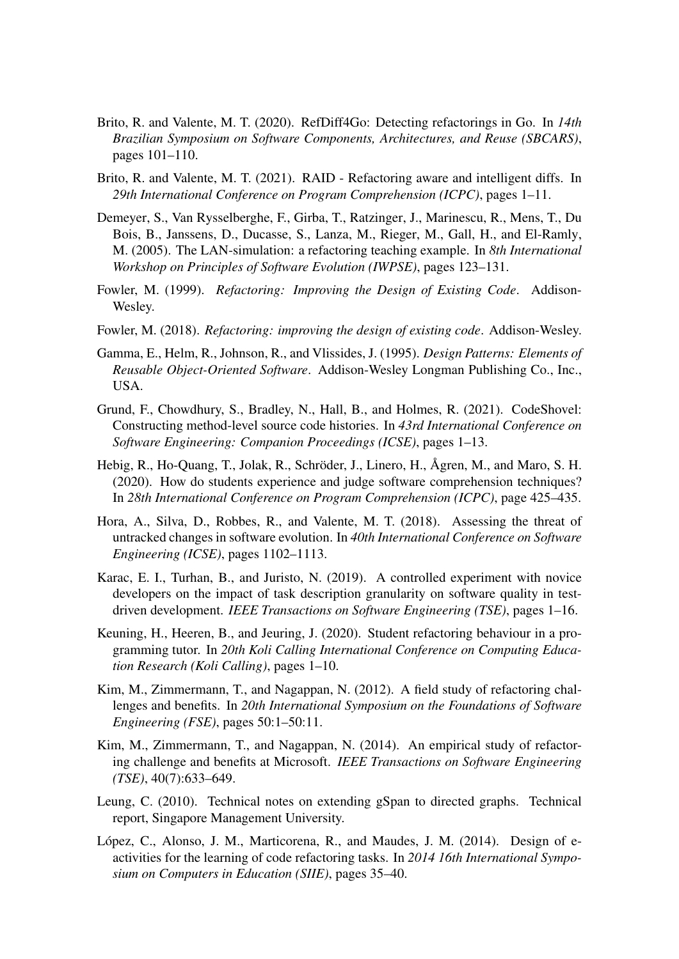- <span id="page-13-6"></span>Brito, R. and Valente, M. T. (2020). RefDiff4Go: Detecting refactorings in Go. In *14th Brazilian Symposium on Software Components, Architectures, and Reuse (SBCARS)*, pages 101–110.
- <span id="page-13-1"></span>Brito, R. and Valente, M. T. (2021). RAID - Refactoring aware and intelligent diffs. In *29th International Conference on Program Comprehension (ICPC)*, pages 1–11.
- <span id="page-13-8"></span>Demeyer, S., Van Rysselberghe, F., Girba, T., Ratzinger, J., Marinescu, R., Mens, T., Du Bois, B., Janssens, D., Ducasse, S., Lanza, M., Rieger, M., Gall, H., and El-Ramly, M. (2005). The LAN-simulation: a refactoring teaching example. In *8th International Workshop on Principles of Software Evolution (IWPSE)*, pages 123–131.
- <span id="page-13-3"></span>Fowler, M. (1999). *Refactoring: Improving the Design of Existing Code*. Addison-Wesley.
- <span id="page-13-5"></span>Fowler, M. (2018). *Refactoring: improving the design of existing code*. Addison-Wesley.
- <span id="page-13-4"></span>Gamma, E., Helm, R., Johnson, R., and Vlissides, J. (1995). *Design Patterns: Elements of Reusable Object-Oriented Software*. Addison-Wesley Longman Publishing Co., Inc., USA.
- <span id="page-13-2"></span>Grund, F., Chowdhury, S., Bradley, N., Hall, B., and Holmes, R. (2021). CodeShovel: Constructing method-level source code histories. In *43rd International Conference on Software Engineering: Companion Proceedings (ICSE)*, pages 1–13.
- <span id="page-13-10"></span>Hebig, R., Ho-Quang, T., Jolak, R., Schröder, J., Linero, H., Ågren, M., and Maro, S. H. (2020). How do students experience and judge software comprehension techniques? In *28th International Conference on Program Comprehension (ICPC)*, page 425–435.
- <span id="page-13-13"></span>Hora, A., Silva, D., Robbes, R., and Valente, M. T. (2018). Assessing the threat of untracked changes in software evolution. In *40th International Conference on Software Engineering (ICSE)*, pages 1102–1113.
- <span id="page-13-12"></span>Karac, E. I., Turhan, B., and Juristo, N. (2019). A controlled experiment with novice developers on the impact of task description granularity on software quality in testdriven development. *IEEE Transactions on Software Engineering (TSE)*, pages 1–16.
- <span id="page-13-11"></span>Keuning, H., Heeren, B., and Jeuring, J. (2020). Student refactoring behaviour in a programming tutor. In *20th Koli Calling International Conference on Computing Education Research (Koli Calling)*, pages 1–10.
- <span id="page-13-7"></span>Kim, M., Zimmermann, T., and Nagappan, N. (2012). A field study of refactoring challenges and benefits. In *20th International Symposium on the Foundations of Software Engineering (FSE)*, pages 50:1–50:11.
- <span id="page-13-0"></span>Kim, M., Zimmermann, T., and Nagappan, N. (2014). An empirical study of refactoring challenge and benefits at Microsoft. *IEEE Transactions on Software Engineering (TSE)*, 40(7):633–649.
- <span id="page-13-14"></span>Leung, C. (2010). Technical notes on extending gSpan to directed graphs. Technical report, Singapore Management University.
- <span id="page-13-9"></span>López, C., Alonso, J. M., Marticorena, R., and Maudes, J. M. (2014). Design of eactivities for the learning of code refactoring tasks. In *2014 16th International Symposium on Computers in Education (SIIE)*, pages 35–40.